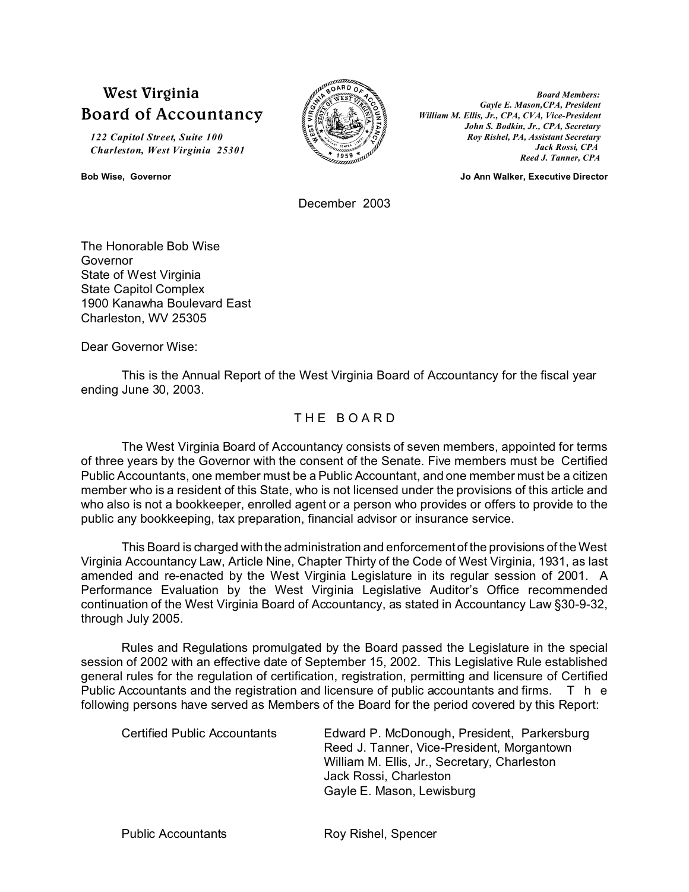# **West Virginia Board of Accountancy**

*122 Capitol Street, Suite 100 Charleston, West Virginia 25301*



*Board Members: Gayle E. Mason,CPA, President William M. Ellis, Jr., CPA, CVA, Vice-President John S. Bodkin, Jr., CPA, Secretary Roy Rishel, PA, Assistant Secretary Jack Rossi, CPA Reed J. Tanner, CPA*

**Bob Wise, Governor Jo Ann Walker, Executive Director**

December 2003

The Honorable Bob Wise Governor State of West Virginia State Capitol Complex 1900 Kanawha Boulevard East Charleston, WV 25305

Dear Governor Wise:

This is the Annual Report of the West Virginia Board of Accountancy for the fiscal year ending June 30, 2003.

# THE BOARD

The West Virginia Board of Accountancy consists of seven members, appointed for terms of three years by the Governor with the consent of the Senate. Five members must be Certified Public Accountants, one member must be a Public Accountant, and one member must be a citizen member who is a resident of this State, who is not licensed under the provisions of this article and who also is not a bookkeeper, enrolled agent or a person who provides or offers to provide to the public any bookkeeping, tax preparation, financial advisor or insurance service.

This Board is charged with the administration and enforcement of the provisions of the West Virginia Accountancy Law, Article Nine, Chapter Thirty of the Code of West Virginia, 1931, as last amended and re-enacted by the West Virginia Legislature in its regular session of 2001. A Performance Evaluation by the West Virginia Legislative Auditor's Office recommended continuation of the West Virginia Board of Accountancy, as stated in Accountancy Law §30-9-32, through July 2005.

Rules and Regulations promulgated by the Board passed the Legislature in the special session of 2002 with an effective date of September 15, 2002. This Legislative Rule established general rules for the regulation of certification, registration, permitting and licensure of Certified Public Accountants and the registration and licensure of public accountants and firms. T h e following persons have served as Members of the Board for the period covered by this Report:

| Certified Public Accountants | Edward P. McDonough, President, Parkersburg<br>Reed J. Tanner, Vice-President, Morgantown |  |  |
|------------------------------|-------------------------------------------------------------------------------------------|--|--|
|                              | William M. Ellis, Jr., Secretary, Charleston                                              |  |  |
|                              | Jack Rossi, Charleston                                                                    |  |  |
|                              | Gayle E. Mason, Lewisburg                                                                 |  |  |

Public Accountants **Roy Rishel**, Spencer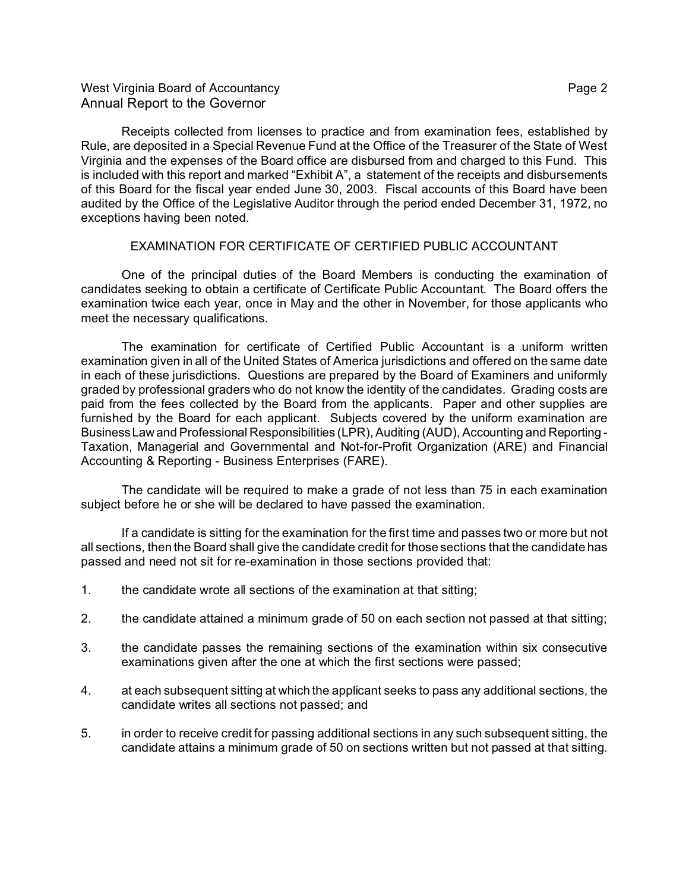## West Virginia Board of Accountancy **Page 2** and the Virginia Board of Accountancy Annual Report to the Governor

Receipts collected from licenses to practice and from examination fees, established by Rule, are deposited in a Special Revenue Fund at the Office of the Treasurer of the State of West Virginia and the expenses of the Board office are disbursed from and charged to this Fund. This is included with this report and marked "Exhibit A", a statement of the receipts and disbursements of this Board for the fiscal year ended June 30, 2003. Fiscal accounts of this Board have been audited by the Office of the Legislative Auditor through the period ended December 31, 1972, no exceptions having been noted.

### EXAMINATION FOR CERTIFICATE OF CERTIFIED PUBLIC ACCOUNTANT

One of the principal duties of the Board Members is conducting the examination of candidates seeking to obtain a certificate of Certificate Public Accountant. The Board offers the examination twice each year, once in May and the other in November, for those applicants who meet the necessary qualifications.

The examination for certificate of Certified Public Accountant is a uniform written examination given in all of the United States of America jurisdictions and offered on the same date in each of these jurisdictions. Questions are prepared by the Board of Examiners and uniformly graded by professional graders who do not know the identity of the candidates. Grading costs are paid from the fees collected by the Board from the applicants. Paper and other supplies are furnished by the Board for each applicant. Subjects covered by the uniform examination are BusinessLaw and Professional Responsibilities (LPR), Auditing (AUD), Accounting and Reporting - Taxation, Managerial and Governmental and Not-for-Profit Organization (ARE) and Financial Accounting & Reporting - Business Enterprises (FARE).

The candidate will be required to make a grade of not less than 75 in each examination subject before he or she will be declared to have passed the examination.

If a candidate is sitting for the examination for the first time and passes two or more but not all sections, then the Board shall give the candidate credit for those sections that the candidate has passed and need not sit for re-examination in those sections provided that:

- 1. the candidate wrote all sections of the examination at that sitting;
- 2. the candidate attained a minimum grade of 50 on each section not passed at that sitting;
- 3. the candidate passes the remaining sections of the examination within six consecutive examinations given after the one at which the first sections were passed;
- 4. at each subsequent sitting at which the applicant seeks to pass any additional sections, the candidate writes all sections not passed; and
- 5. in order to receive credit for passing additional sections in any such subsequent sitting, the candidate attains a minimum grade of 50 on sections written but not passed at that sitting.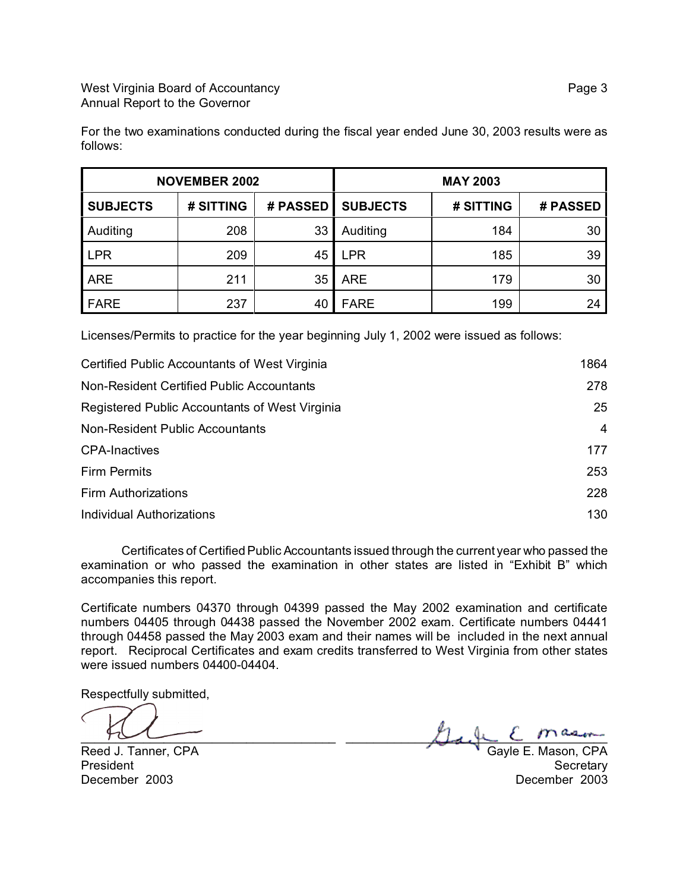For the two examinations conducted during the fiscal year ended June 30, 2003 results were as follows:

| <b>NOVEMBER 2002</b> |           |          | <b>MAY 2003</b> |           |          |
|----------------------|-----------|----------|-----------------|-----------|----------|
| <b>SUBJECTS</b>      | # SITTING | # PASSED | <b>SUBJECTS</b> | # SITTING | # PASSED |
| Auditing             | 208       | 33       | Auditing        | 184       | 30       |
| <b>LPR</b>           | 209       | 45       | <b>LPR</b>      | 185       | 39       |
| ARE                  | 211       | 35       | <b>ARE</b>      | 179       | 30       |
| <b>FARE</b>          | 237       | 40       | <b>FARE</b>     | 199       | 24       |

Licenses/Permits to practice for the year beginning July 1, 2002 were issued as follows:

| Certified Public Accountants of West Virginia  | 1864 |
|------------------------------------------------|------|
| Non-Resident Certified Public Accountants      | 278  |
| Registered Public Accountants of West Virginia | 25   |
| Non-Resident Public Accountants                | 4    |
| <b>CPA-Inactives</b>                           | 177  |
| <b>Firm Permits</b>                            | 253  |
| <b>Firm Authorizations</b>                     | 228  |
| Individual Authorizations                      | 130  |

Certificates of Certified Public Accountants issued through the current year who passed the examination or who passed the examination in other states are listed in "Exhibit B" which accompanies this report.

Certificate numbers 04370 through 04399 passed the May 2002 examination and certificate numbers 04405 through 04438 passed the November 2002 exam. Certificate numbers 04441 through 04458 passed the May 2003 exam and their names will be included in the next annual report. Reciprocal Certificates and exam credits transferred to West Virginia from other states were issued numbers 04400-04404.

Respectfully submitted,

 $H_{\infty}$  and  $H_{\infty}$  and  $H_{\infty}$  and  $H_{\infty}$  and  $H_{\infty}$  and  $H_{\infty}$  and  $H_{\infty}$  and  $H_{\infty}$  are  $H_{\infty}$ 

Reed J. Tanner, CPA Gayle E. Mason, CPA President Secretary Secretary of the Secretary Secretary Secretary Secretary Secretary December 2003 December 2003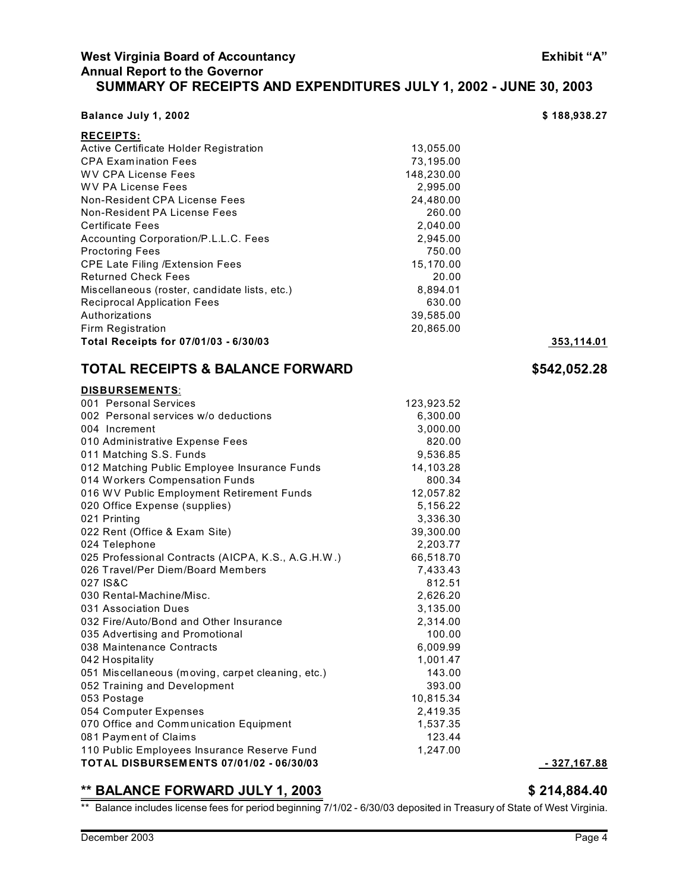**RECEIPTS:**

# **West Virginia Board of Accountancy Exhibit "A" Annual Report to the Governor SUMMARY OF RECEIPTS AND EXPENDITURES JULY 1, 2002 - JUNE 30, 2003**

**Balance July 1, 2002 6.188,938.27** 

| Active Certificate Holder Registration             | 13,055.00  |  |
|----------------------------------------------------|------------|--|
| <b>CPA Examination Fees</b>                        | 73,195.00  |  |
| <b>WV CPA License Fees</b>                         | 148,230.00 |  |
| <b>WV PA License Fees</b>                          | 2,995.00   |  |
| Non-Resident CPA License Fees                      | 24,480.00  |  |
| Non-Resident PA License Fees                       | 260.00     |  |
| <b>Certificate Fees</b>                            | 2,040.00   |  |
| Accounting Corporation/P.L.L.C. Fees               | 2,945.00   |  |
| <b>Proctoring Fees</b>                             | 750.00     |  |
| <b>CPE Late Filing /Extension Fees</b>             | 15,170.00  |  |
| <b>Returned Check Fees</b>                         | 20.00      |  |
| Miscellaneous (roster, candidate lists, etc.)      | 8,894.01   |  |
| <b>Reciprocal Application Fees</b>                 | 630.00     |  |
| Authorizations                                     | 39,585.00  |  |
| Firm Registration                                  | 20,865.00  |  |
| Total Receipts for 07/01/03 - 6/30/03              |            |  |
| <b>TOTAL RECEIPTS &amp; BALANCE FORWARD</b>        |            |  |
| DISBURSEMENTS:                                     |            |  |
| 001 Personal Services                              | 123,923.52 |  |
| 002 Personal services w/o deductions               | 6,300.00   |  |
| 004 Increment                                      | 3,000.00   |  |
| 010 Administrative Expense Fees                    | 820.00     |  |
| 011 Matching S.S. Funds                            | 9,536.85   |  |
| 012 Matching Public Employee Insurance Funds       | 14,103.28  |  |
| 014 Workers Compensation Funds                     | 800.34     |  |
| 016 WV Public Employment Retirement Funds          | 12,057.82  |  |
| 020 Office Expense (supplies)                      | 5,156.22   |  |
| 021 Printing                                       | 3,336.30   |  |
| 022 Rent (Office & Exam Site)                      | 39,300.00  |  |
| 024 Telephone                                      | 2,203.77   |  |
| 025 Professional Contracts (AICPA, K.S., A.G.H.W.) | 66,518.70  |  |
| 026 Travel/Per Diem/Board Members                  | 7,433.43   |  |
| 027 IS&C                                           | 812.51     |  |
| 030 Rental-Machine/Misc.                           | 2,626.20   |  |
| 031 Association Dues                               | 3,135.00   |  |
| 032 Fire/Auto/Bond and Other Insurance             | 2,314.00   |  |
| 035 Advertising and Promotional                    | 100.00     |  |
| 038 Maintenance Contracts                          | 6,009.99   |  |
| 042 Hospitality                                    | 1,001.47   |  |

051 Miscellaneous (moving, carpet cleaning, etc.) 143.00 052 Training and Development 393.00 053 Postage 10,815.34 054 Computer Expenses 2,419.35 070 Office and Communication Equipment 1,537.35 081 Payment of Claims 123.44 110 Public Employees Insurance Reserve Fund 1,247.00

**\*\* BALANCE FORWARD JULY 1, 2003 \$ 214,884.40** \*\* Balance includes license fees for period beginning 7/1/02 - 6/30/03 deposited in Treasury of State of West Virginia.

**TOTAL DISBURSEM ENTS 07/01/02 - 06/30/03 - 327,167.88**

**Total Receipts for 07/01/03 - 6/30/03 353,114.01 TOTAL RECEIPTS & BALANCE FORWARD \$542,052.28**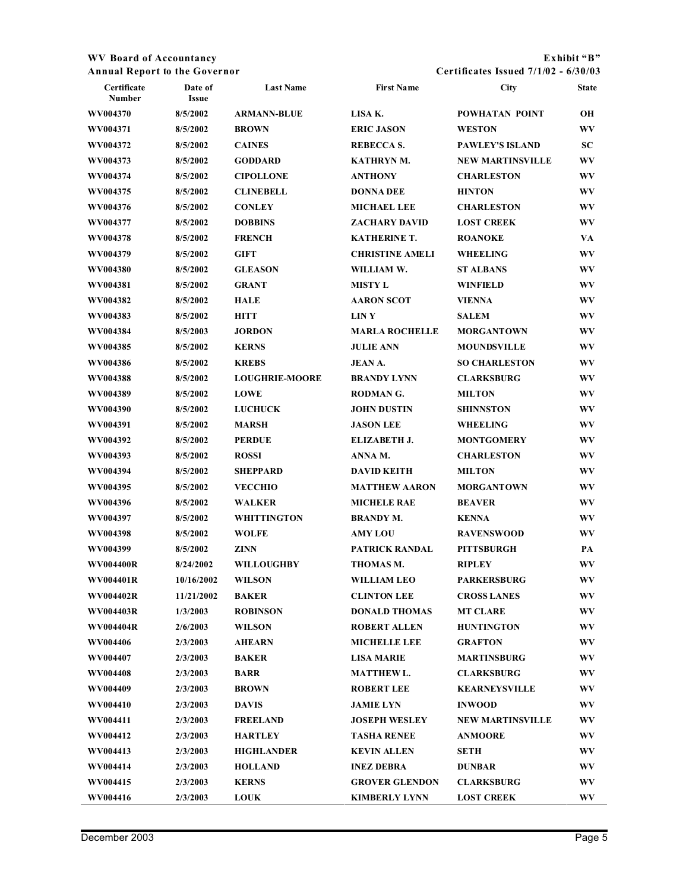### **WV Board of Accountancy Exhibit "B" Annual Report to the Governor Certificates Issued 7/1/02 - 6/30/03**

| Certificate<br>Number | Date of<br><b>Issue</b> | <b>Last Name</b>      | <b>First Name</b>      | City                    | <b>State</b> |
|-----------------------|-------------------------|-----------------------|------------------------|-------------------------|--------------|
| WV004370              | 8/5/2002                | <b>ARMANN-BLUE</b>    | LISA K.                | POWHATAN POINT          | OН           |
| WV004371              | 8/5/2002                | <b>BROWN</b>          | <b>ERIC JASON</b>      | <b>WESTON</b>           | WV           |
| WV004372              | 8/5/2002                | <b>CAINES</b>         | REBECCA S.             | <b>PAWLEY'S ISLAND</b>  | SC           |
| WV004373              | 8/5/2002                | <b>GODDARD</b>        | <b>KATHRYNM.</b>       | <b>NEW MARTINSVILLE</b> | WV           |
| WV004374              | 8/5/2002                | <b>CIPOLLONE</b>      | <b>ANTHONY</b>         | <b>CHARLESTON</b>       | WV           |
| WV004375              | 8/5/2002                | <b>CLINEBELL</b>      | <b>DONNA DEE</b>       | <b>HINTON</b>           | WV           |
| WV004376              | 8/5/2002                | <b>CONLEY</b>         | <b>MICHAEL LEE</b>     | <b>CHARLESTON</b>       | WV           |
| WV004377              | 8/5/2002                | <b>DOBBINS</b>        | <b>ZACHARY DAVID</b>   | <b>LOST CREEK</b>       | WV           |
| WV004378              | 8/5/2002                | <b>FRENCH</b>         | <b>KATHERINE T.</b>    | <b>ROANOKE</b>          | VA           |
| WV004379              | 8/5/2002                | <b>GIFT</b>           | <b>CHRISTINE AMELI</b> | <b>WHEELING</b>         | WV           |
| WV004380              | 8/5/2002                | <b>GLEASON</b>        | WILLIAM W.             | <b>ST ALBANS</b>        | WV           |
| WV004381              | 8/5/2002                | <b>GRANT</b>          | <b>MISTY L</b>         | <b>WINFIELD</b>         | WV           |
| WV004382              | 8/5/2002                | <b>HALE</b>           | <b>AARON SCOT</b>      | <b>VIENNA</b>           | WV           |
| WV004383              | 8/5/2002                | <b>HITT</b>           | <b>LINY</b>            | <b>SALEM</b>            | WV           |
| WV004384              | 8/5/2003                | <b>JORDON</b>         | <b>MARLA ROCHELLE</b>  | <b>MORGANTOWN</b>       | WV           |
| WV004385              | 8/5/2002                | <b>KERNS</b>          | <b>JULIE ANN</b>       | <b>MOUNDSVILLE</b>      | WV           |
| WV004386              | 8/5/2002                | <b>KREBS</b>          | <b>JEAN A.</b>         | <b>SO CHARLESTON</b>    | WV           |
| WV004388              | 8/5/2002                | <b>LOUGHRIE-MOORE</b> | <b>BRANDY LYNN</b>     | <b>CLARKSBURG</b>       | WV           |
| WV004389              | 8/5/2002                | <b>LOWE</b>           | <b>RODMAN G.</b>       | <b>MILTON</b>           | WV           |
| WV004390              | 8/5/2002                | <b>LUCHUCK</b>        | <b>JOHN DUSTIN</b>     | <b>SHINNSTON</b>        | WV           |
| WV004391              | 8/5/2002                | <b>MARSH</b>          | <b>JASON LEE</b>       | <b>WHEELING</b>         | WV           |
| WV004392              | 8/5/2002                | <b>PERDUE</b>         | ELIZABETH J.           | <b>MONTGOMERY</b>       | WV           |
| WV004393              | 8/5/2002                | <b>ROSSI</b>          | ANNA M.                | <b>CHARLESTON</b>       | WV           |
| WV004394              | 8/5/2002                | <b>SHEPPARD</b>       | <b>DAVID KEITH</b>     | <b>MILTON</b>           | WV           |
| WV004395              | 8/5/2002                | <b>VECCHIO</b>        | <b>MATTHEW AARON</b>   | <b>MORGANTOWN</b>       | WV           |
| WV004396              | 8/5/2002                | <b>WALKER</b>         | <b>MICHELE RAE</b>     | <b>BEAVER</b>           | WV           |
| WV004397              | 8/5/2002                | <b>WHITTINGTON</b>    | <b>BRANDY M.</b>       | <b>KENNA</b>            | WV           |
| WV004398              | 8/5/2002                | <b>WOLFE</b>          | <b>AMY LOU</b>         | <b>RAVENSWOOD</b>       | WV           |
| WV004399              | 8/5/2002                | <b>ZINN</b>           | PATRICK RANDAL         | <b>PITTSBURGH</b>       | PA           |
| WV004400R             | 8/24/2002               | <b>WILLOUGHBY</b>     | THOMAS M.              | <b>RIPLEY</b>           | WV           |
| WV004401R             | 10/16/2002              | <b>WILSON</b>         | <b>WILLIAM LEO</b>     | <b>PARKERSBURG</b>      | WV           |
| WV004402R             | 11/21/2002              | <b>BAKER</b>          | <b>CLINTON LEE</b>     | <b>CROSS LANES</b>      | WV           |
| WV004403R             | 1/3/2003                | <b>ROBINSON</b>       | <b>DONALD THOMAS</b>   | <b>MT CLARE</b>         | WV           |
| WV004404R             | 2/6/2003                | <b>WILSON</b>         | <b>ROBERT ALLEN</b>    | <b>HUNTINGTON</b>       | WV           |
| WV004406              | 2/3/2003                | <b>AHEARN</b>         | <b>MICHELLE LEE</b>    | <b>GRAFTON</b>          | WV           |
| WV004407              | 2/3/2003                | <b>BAKER</b>          | <b>LISA MARIE</b>      | <b>MARTINSBURG</b>      | WV           |
| WV004408              | 2/3/2003                | <b>BARR</b>           | <b>MATTHEWL.</b>       | <b>CLARKSBURG</b>       | WV           |
| WV004409              | 2/3/2003                | <b>BROWN</b>          | <b>ROBERT LEE</b>      | <b>KEARNEYSVILLE</b>    | WV           |
| WV004410              | 2/3/2003                | <b>DAVIS</b>          | <b>JAMIE LYN</b>       | <b>INWOOD</b>           | WV           |
| WV004411              | 2/3/2003                | <b>FREELAND</b>       | <b>JOSEPH WESLEY</b>   | <b>NEW MARTINSVILLE</b> | WV           |
| WV004412              | 2/3/2003                | <b>HARTLEY</b>        | <b>TASHA RENEE</b>     | <b>ANMOORE</b>          | WV           |
| WV004413              | 2/3/2003                | <b>HIGHLANDER</b>     | <b>KEVIN ALLEN</b>     | <b>SETH</b>             | WV           |
| WV004414              | 2/3/2003                | <b>HOLLAND</b>        | <b>INEZ DEBRA</b>      | <b>DUNBAR</b>           | WV           |
| WV004415              | 2/3/2003                | <b>KERNS</b>          | <b>GROVER GLENDON</b>  | <b>CLARKSBURG</b>       | WV           |
| WV004416              | 2/3/2003                | <b>LOUK</b>           | <b>KIMBERLY LYNN</b>   | <b>LOST CREEK</b>       | WV.          |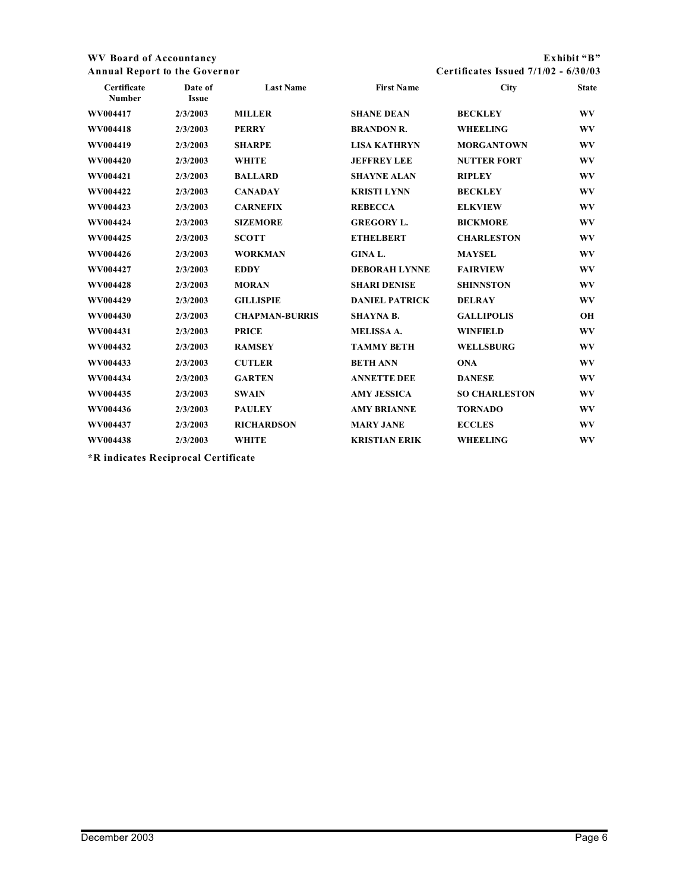### **WV Board of Accountancy Exhibit "B" Annual Report to the Governor Certificates Issued 7/1/02 - 6/30/03**

| Certificate<br>Number | Date of<br><b>Issue</b> | <b>Last Name</b>      | <b>First Name</b>     | <b>City</b>          | <b>State</b> |
|-----------------------|-------------------------|-----------------------|-----------------------|----------------------|--------------|
| WV004417              | 2/3/2003                | <b>MILLER</b>         | <b>SHANE DEAN</b>     | <b>BECKLEY</b>       | WV           |
| WV004418              | 2/3/2003                | <b>PERRY</b>          | <b>BRANDON R.</b>     | <b>WHEELING</b>      | WV           |
| WV004419              | 2/3/2003                | <b>SHARPE</b>         | <b>LISA KATHRYN</b>   | <b>MORGANTOWN</b>    | WV           |
| WV004420              | 2/3/2003                | <b>WHITE</b>          | <b>JEFFREY LEE</b>    | <b>NUTTER FORT</b>   | WV           |
| WV004421              | 2/3/2003                | <b>BALLARD</b>        | <b>SHAYNE ALAN</b>    | <b>RIPLEY</b>        | WV           |
| WV004422              | 2/3/2003                | <b>CANADAY</b>        | <b>KRISTI LYNN</b>    | <b>BECKLEY</b>       | WV           |
| WV004423              | 2/3/2003                | <b>CARNEFIX</b>       | <b>REBECCA</b>        | <b>ELKVIEW</b>       | WV           |
| WV004424              | 2/3/2003                | <b>SIZEMORE</b>       | <b>GREGORY L.</b>     | <b>BICKMORE</b>      | WV           |
| WV004425              | 2/3/2003                | <b>SCOTT</b>          | <b>ETHELBERT</b>      | <b>CHARLESTON</b>    | WV           |
| WV004426              | 2/3/2003                | <b>WORKMAN</b>        | <b>GINAL.</b>         | <b>MAYSEL</b>        | WV           |
| WV004427              | 2/3/2003                | <b>EDDY</b>           | <b>DEBORAH LYNNE</b>  | <b>FAIRVIEW</b>      | WV           |
| WV004428              | 2/3/2003                | <b>MORAN</b>          | <b>SHARI DENISE</b>   | <b>SHINNSTON</b>     | WV           |
| WV004429              | 2/3/2003                | <b>GILLISPIE</b>      | <b>DANIEL PATRICK</b> | <b>DELRAY</b>        | WV           |
| WV004430              | 2/3/2003                | <b>CHAPMAN-BURRIS</b> | <b>SHAYNA B.</b>      | <b>GALLIPOLIS</b>    | <b>OH</b>    |
| WV004431              | 2/3/2003                | <b>PRICE</b>          | <b>MELISSA A.</b>     | <b>WINFIELD</b>      | WV           |
| WV004432              | 2/3/2003                | <b>RAMSEY</b>         | <b>TAMMY BETH</b>     | <b>WELLSBURG</b>     | WV           |
| WV004433              | 2/3/2003                | <b>CUTLER</b>         | <b>BETH ANN</b>       | <b>ONA</b>           | WV           |
| WV004434              | 2/3/2003                | <b>GARTEN</b>         | <b>ANNETTE DEE</b>    | <b>DANESE</b>        | WV           |
| WV004435              | 2/3/2003                | <b>SWAIN</b>          | <b>AMY JESSICA</b>    | <b>SO CHARLESTON</b> | WV           |
| WV004436              | 2/3/2003                | <b>PAULEY</b>         | <b>AMY BRIANNE</b>    | <b>TORNADO</b>       | WV           |
| WV004437              | 2/3/2003                | <b>RICHARDSON</b>     | <b>MARY JANE</b>      | <b>ECCLES</b>        | WV           |
| WV004438              | 2/3/2003                | <b>WHITE</b>          | <b>KRISTIAN ERIK</b>  | <b>WHEELING</b>      | WV           |
|                       |                         |                       |                       |                      |              |

**\*R indicates Reciprocal Certificate**